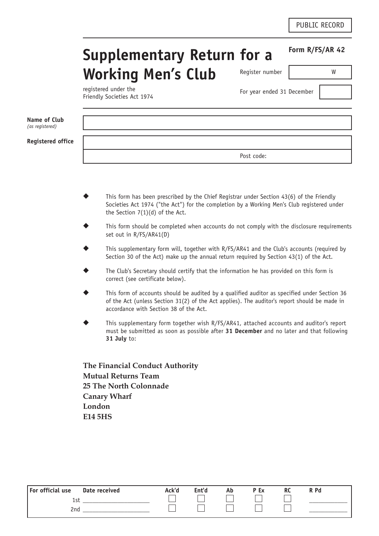**Form R/FS/AR 42**

# **Supplementary Return for a Working Men's Club**  Register number W

registered under the Friendly Societies Act 1974

For year ended 31 December

| Name of Club<br>(as registered) |            |
|---------------------------------|------------|
| <b>Registered office</b>        |            |
|                                 | Post code: |

- This form has been prescribed by the Chief Registrar under Section  $43(6)$  of the Friendly Societies Act 1974 ("the Act") for the completion by a Working Men's Club registered under the Section 7(1)(d) of the Act.
- This form should be completed when accounts do not comply with the disclosure requirements set out in R/FS/AR41(D)
- This supplementary form will, together with R/FS/AR41 and the Club's accounts (required by Section 30 of the Act) make up the annual return required by Section 43(1) of the Act.
- The Club's Secretary should certify that the information he has provided on this form is correct (see certificate below).
- This form of accounts should be audited by a qualified auditor as specified under Section 36 of the Act (unless Section 31(2) of the Act applies). The auditor's report should be made in accordance with Section 38 of the Act.
- This supplementary form together wish R/FS/AR41, attached accounts and auditor's report must be submitted as soon as possible after **31 December** and no later and that following **31 July** to:

**The Financial Conduct Authority Mutual Returns Team 25 The North Colonnade Canary Wharf London E14 5HS**

| For official use | Date received | Ack'd | Ent'd | Ab | P Ex | <b>RC</b> | R Pd |
|------------------|---------------|-------|-------|----|------|-----------|------|
| 1st              |               |       |       |    |      |           |      |
| 2 <sub>nd</sub>  |               |       |       |    |      |           |      |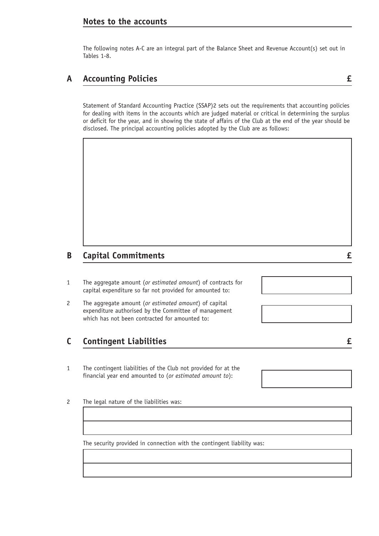### **Notes to the accounts**

The following notes A-C are an integral part of the Balance Sheet and Revenue Account(s) set out in Tables 1-8.

## **A Accounting Policies £**

Statement of Standard Accounting Practice (SSAP)2 sets out the requirements that accounting policies for dealing with items in the accounts which are judged material or critical in determining the surplus or deficit for the year, and in showing the state of affairs of the Club at the end of the year should be disclosed. The principal accounting policies adopted by the Club are as follows:

## **B Capital Commitments £**

- 1 The aggregate amount (*or estimated amount*) of contracts for capital expenditure so far not provided for amounted to:
- 2 The aggregate amount (*or estimated amount*) of capital expenditure authorised by the Committee of management which has not been contracted for amounted to:

### **C Contingent Liabilities £**

- 1 The contingent liabilities of the Club not provided for at the financial year end amounted to (*or estimated amount to*):
- 2 The legal nature of the liabilities was:

The security provided in connection with the contingent liability was: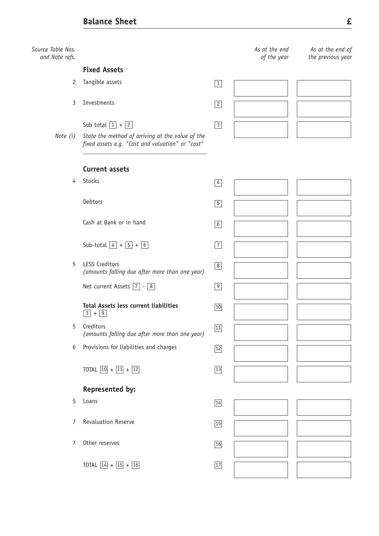*Source Table Nos. and Note refs.*

### **Fixed Assets**

- 2 Tangible assets  $\boxed{1}$
- 3 Investments 2

Sub total  $|1| + |2|$  3

*Note (i) State the method of arriving at the value of the fixed assets e.g. "Cost and valuation" or "cost"*

*\_\_\_\_\_\_\_\_\_\_\_\_\_\_\_\_\_\_\_\_\_\_\_\_\_\_\_\_\_\_\_\_\_\_\_\_\_\_\_*

*As at the end of the year*

*As at the end of the previous year*

#### **Current assets**

4 Stocks 4 Stocks 4 Stocks 4 Stocks 4 Stocks 4 Stocks 4 Stocks 4 Stocks 4 Stocks 4 Stocks 4 Stocks 4 Stocks 4 Stocks 4 Stocks 4 Stocks 4 Stocks 4 Stocks 4 Stocks 4 Stocks 4 Stocks 4 Stocks 4 Stocks 4 Stocks 4 Stocks 4 Stoc

Debtors 5

Cash at Bank or in hand  $\sqrt{6}$ 

Sub-total  $\boxed{4} + \boxed{5} + \boxed{6}$ 

5 LESS Creditors *(amounts falling due after more than one year)*

Net current Assets  $\boxed{7}$  -  $\boxed{8}$ 

#### **Total Assets less current liabilities**  $\boxed{3}$  +  $\boxed{9}$

- 5 Creditors *(amounts falling due after more than one year)*
- 6 Provisions for liabilities and charges  $\sqrt{12}$

TOTAL  $\boxed{10} + \boxed{11} + \boxed{12}$  13

### **Represented by:**

 $5$  Loans  $\sqrt{14}$ 

7 Revaluation Reserve 15 and 15 and 15 and 15 and 15 and 15 and 15 and 15 and 15 and 15 and 15 and 15 and 15 and 15 and 15 and 15 and 15 and 15 and 15 and 15 and 15 and 15 and 15 and 15 and 15 and 15 and 15 and 15 and 15 a

7 Other reserves 16

TOTAL  $\boxed{14} + \boxed{15} + \boxed{16}$   $\boxed{17}$ 

| $\boxed{4}$     |  |
|-----------------|--|
| $\boxed{5}$     |  |
| $6\overline{6}$ |  |
| $\boxed{7}$     |  |
| $\boxed{8}$     |  |
| $\boxed{9}$     |  |
| 10              |  |
| 11              |  |
| 12              |  |
|                 |  |

| $\overline{14}$ |  |
|-----------------|--|
| $\overline{15}$ |  |
| $\overline{16}$ |  |
| ا 1             |  |

| and the company of the |  |
|------------------------|--|
|                        |  |
|                        |  |
|                        |  |
|                        |  |
|                        |  |
|                        |  |

 $\overline{\phantom{a}}$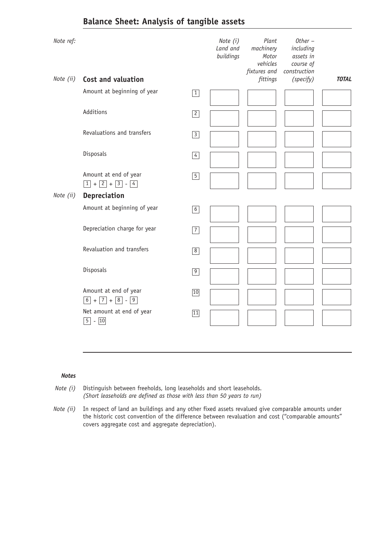# **Balance Sheet: Analysis of tangible assets**

| Note ref: |                                                 |             | Note (i)<br>Land and<br>buildings | Plant<br>machinery<br>Motor<br>vehicles<br>fixtures and | $Other -$<br>including<br>assets in<br>course of<br>construction |              |
|-----------|-------------------------------------------------|-------------|-----------------------------------|---------------------------------------------------------|------------------------------------------------------------------|--------------|
| Note (ii) | Cost and valuation                              |             |                                   | fittings                                                | (specify)                                                        | <b>TOTAL</b> |
|           | Amount at beginning of year                     | $\boxed{1}$ |                                   |                                                         |                                                                  |              |
|           | Additions                                       | $\boxed{2}$ |                                   |                                                         |                                                                  |              |
|           | Revaluations and transfers                      | $\boxed{3}$ |                                   |                                                         |                                                                  |              |
|           | Disposals                                       | $\boxed{4}$ |                                   |                                                         |                                                                  |              |
|           | Amount at end of year<br>$1 + 2 + 3 - 4$        | $\boxed{5}$ |                                   |                                                         |                                                                  |              |
| Note (ii) | <b>Depreciation</b>                             |             |                                   |                                                         |                                                                  |              |
|           | Amount at beginning of year                     | $6\vert$    |                                   |                                                         |                                                                  |              |
|           | Depreciation charge for year                    | $\boxed{7}$ |                                   |                                                         |                                                                  |              |
|           | Revaluation and transfers                       | $\boxed{8}$ |                                   |                                                         |                                                                  |              |
|           | Disposals                                       | $\boxed{9}$ |                                   |                                                         |                                                                  |              |
|           | Amount at end of year<br>$6 + 7 + 8 - 9$        | 10          |                                   |                                                         |                                                                  |              |
|           | Net amount at end of year<br>$ \boxed{10}$<br>5 | 11          |                                   |                                                         |                                                                  |              |

### *Notes*

- *Note (i)* Distinguish between freeholds, long leaseholds and short leaseholds. *(Short leaseholds are defined as those with less than 50 years to run)*
- *Note (ii)* In respect of land an buildings and any other fixed assets revalued give comparable amounts under the historic cost convention of the difference between revaluation and cost ("comparable amounts" covers aggregate cost and aggregate depreciation).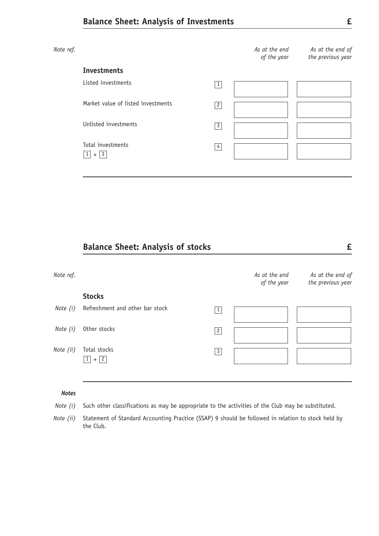| Note ref. |                                    |                | As at the end<br>of the year | As at the end of<br>the previous year |
|-----------|------------------------------------|----------------|------------------------------|---------------------------------------|
|           | <b>Investments</b>                 |                |                              |                                       |
|           | Listed investments                 | $\mathbf{1}$   |                              |                                       |
|           | Market value of listed investments | $\mathbf{2}$   |                              |                                       |
|           | Unlisted investments               | $\overline{3}$ |                              |                                       |
|           | Total investments<br>$+$ 3<br>1    | $\overline{4}$ |                              |                                       |

## **Balance Sheet: Analysis of stocks £**

| Note ref. |                                     |              | As at the end<br>of the year | As at the end of<br>the previous year |
|-----------|-------------------------------------|--------------|------------------------------|---------------------------------------|
|           | <b>Stocks</b>                       |              |                              |                                       |
| Note (i)  | Refreshment and other bar stock     | $\mathbf{1}$ |                              |                                       |
| Note (i)  | Other stocks                        | $\mathbf{2}$ |                              |                                       |
| Note (ii) | Total stocks<br>$+$  2 <br>$1\vert$ | $\mathbf{3}$ |                              |                                       |

### *Notes*

- *Note (i)* Such other classifications as may be appropriate to the activities of the Club may be substituted.
- *Note (ii)* Statement of Standard Accounting Practice (SSAP) 9 should be followed in relation to stock held by the Club.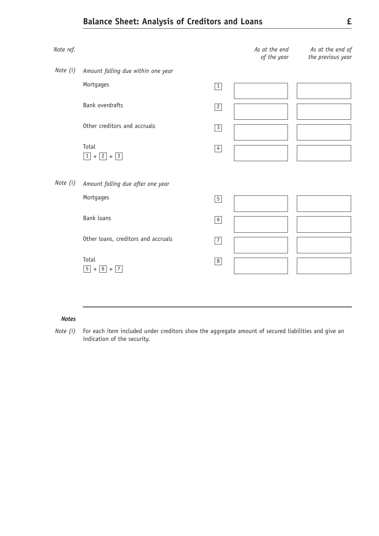# **Balance Sheet: Analysis of Creditors and Loans £**



#### *Notes*

*Note (i)* For each item included under creditors show the aggregate amount of secured liabilities and give an indication of the security.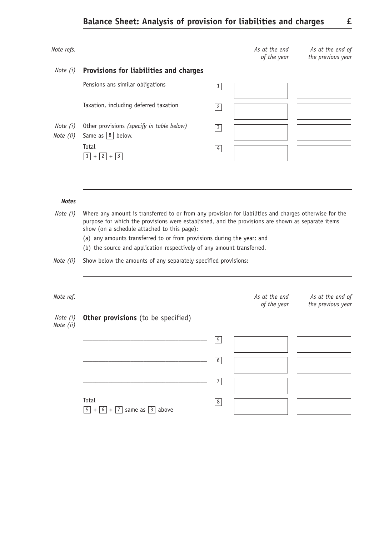| Note refs.            |                                                                                                                                                                                                                                                                                                                                                                                                                |                 | As at the end<br>of the year | As at the end of<br>the previous year |
|-----------------------|----------------------------------------------------------------------------------------------------------------------------------------------------------------------------------------------------------------------------------------------------------------------------------------------------------------------------------------------------------------------------------------------------------------|-----------------|------------------------------|---------------------------------------|
| Note (i)              | Provisions for liabilities and charges                                                                                                                                                                                                                                                                                                                                                                         |                 |                              |                                       |
|                       | Pensions ans similar obligations                                                                                                                                                                                                                                                                                                                                                                               | $\vert 1 \vert$ |                              |                                       |
|                       | Taxation, including deferred taxation                                                                                                                                                                                                                                                                                                                                                                          | 2               |                              |                                       |
| Note (i)<br>Note (ii) | Other provisions (specify in table below)<br>Same as $\boxed{8}$ below.                                                                                                                                                                                                                                                                                                                                        | $\boxed{3}$     |                              |                                       |
|                       | Total<br>$\boxed{1} + \boxed{2} + \boxed{3}$                                                                                                                                                                                                                                                                                                                                                                   | $\vert 4 \vert$ |                              |                                       |
|                       |                                                                                                                                                                                                                                                                                                                                                                                                                |                 |                              |                                       |
| <b>Notes</b>          |                                                                                                                                                                                                                                                                                                                                                                                                                |                 |                              |                                       |
| Note (i)              | Where any amount is transferred to or from any provision for liabilities and charges otherwise for the<br>purpose for which the provisions were established, and the provisions are shown as separate items<br>show (on a schedule attached to this page):<br>(a) any amounts transferred to or from provisions during the year; and<br>(b) the source and application respectively of any amount transferred. |                 |                              |                                       |
| Note (ii)             | Show below the amounts of any separately specified provisions:                                                                                                                                                                                                                                                                                                                                                 |                 |                              |                                       |
| Note ref.             |                                                                                                                                                                                                                                                                                                                                                                                                                |                 | As at the end<br>of the year | As at the end of<br>the previous year |
| Note (i)<br>Note (11) | Other provisions (to be specified)                                                                                                                                                                                                                                                                                                                                                                             |                 |                              |                                       |
|                       |                                                                                                                                                                                                                                                                                                                                                                                                                | $\boxed{5}$     |                              |                                       |
|                       |                                                                                                                                                                                                                                                                                                                                                                                                                | 6               |                              |                                       |
|                       |                                                                                                                                                                                                                                                                                                                                                                                                                | $\boxed{7}$     |                              |                                       |
|                       | Total<br>$\boxed{5}$ + $\boxed{6}$ + $\boxed{7}$ same as $\boxed{3}$ above                                                                                                                                                                                                                                                                                                                                     | $\sqrt{8}$      |                              |                                       |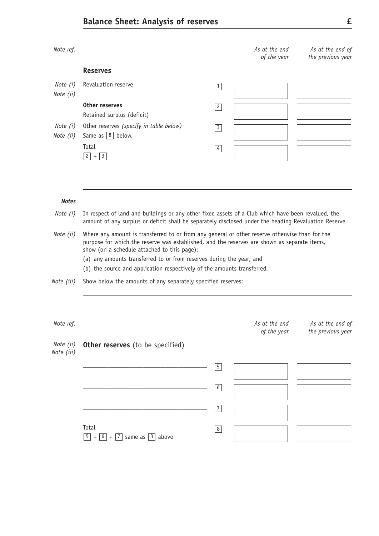*Note ref. As at the end*  **Reserves**

| Note (i)<br>Note (ii) | Revaluation reserve                                                   | 1              |  |
|-----------------------|-----------------------------------------------------------------------|----------------|--|
|                       | Other reserves<br>Retained surplus (deficit)                          | $\overline{c}$ |  |
| Note (i)<br>Note (ii) | Other reserves (specify in table below)<br>Same as $\boxed{8}$ below. | 3              |  |
|                       | Total<br>$+3$<br>$\mathbf{2}$                                         | 4              |  |

#### *Notes*

- *Note (i)* In respect of land and buildings or any other fixed assets of a Club which have been revalued, the amount of any surplus or deficit shall be separately disclosed under the heading Revaluation Reserve.
- *Note (ii)* Where any amount is transferred to or from any general or other reserve otherwise than for the purpose for which the reserve was established, and the reserves are shown as separate items, show (on a schedule attached to this page):
	- (a) any amounts transferred to or from reserves during the year; and
	- (b) the source and application respectively of the amounts transferred.
- *Note (iii)* Show below the amounts of any separately specified reserves:

| Note ref.               |                                                                            |                | As at the end<br>of the year | As at the end of<br>the previous year |
|-------------------------|----------------------------------------------------------------------------|----------------|------------------------------|---------------------------------------|
| Note (ii)<br>Note (iii) | <b>Other reserves</b> (to be specified)                                    |                |                              |                                       |
|                         |                                                                            | $\overline{5}$ |                              |                                       |
|                         |                                                                            | $6\,$          |                              |                                       |
|                         |                                                                            | $\overline{7}$ |                              |                                       |
|                         | Total<br>$\boxed{5}$ + $\boxed{6}$ + $\boxed{7}$ same as $\boxed{3}$ above | $\overline{8}$ |                              |                                       |

*As at the end of the previous year*

*of the year*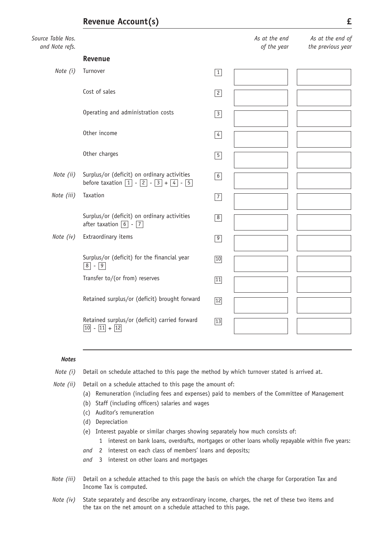### Source *and Note refs.*

| Table Nos.<br>Note refs. |                                                                                                                            |                 | As at the end<br>of the year | As at the end of<br>the previous year |
|--------------------------|----------------------------------------------------------------------------------------------------------------------------|-----------------|------------------------------|---------------------------------------|
|                          | Revenue                                                                                                                    |                 |                              |                                       |
| Note (i)                 | Turnover                                                                                                                   | $\boxed{1}$     |                              |                                       |
|                          | Cost of sales                                                                                                              | $\boxed{2}$     |                              |                                       |
|                          | Operating and administration costs                                                                                         | $\overline{3}$  |                              |                                       |
|                          | Other income                                                                                                               | $\overline{4}$  |                              |                                       |
|                          | Other charges                                                                                                              | $\boxed{5}$     |                              |                                       |
| Note (ii)                | Surplus/or (deficit) on ordinary activities<br>before taxation $\boxed{1} - \boxed{2} - \boxed{3} + \boxed{4} - \boxed{5}$ | $6\overline{6}$ |                              |                                       |
| Note (iii)               | Taxation                                                                                                                   | $\overline{7}$  |                              |                                       |
|                          | Surplus/or (deficit) on ordinary activities<br>after taxation $\boxed{6}$ - $\boxed{7}$                                    | $\boxed{8}$     |                              |                                       |
| Note (iv)                | Extraordinary items                                                                                                        | $\boxed{9}$     |                              |                                       |
|                          | Surplus/or (deficit) for the financial year<br>$\boxed{8}$ - $\boxed{9}$                                                   | $10$            |                              |                                       |
|                          | Transfer to/(or from) reserves                                                                                             | 11              |                              |                                       |
|                          | Retained surplus/or (deficit) brought forward                                                                              | $\overline{12}$ |                              |                                       |
|                          | Retained surplus/or (deficit) carried forward<br>$\boxed{10}$ - $\boxed{11}$ + $\boxed{12}$                                | $\overline{13}$ |                              |                                       |

#### *Notes*

- *Note (i)* Detail on schedule attached to this page the method by which turnover stated is arrived at.
- 
- *Note (ii)* Detail on a schedule attached to this page the amount of:
	- (a) Remuneration (including fees and expenses) paid to members of the Committee of Management
	- (b) Staff (including officers) salaries and wages
	- (c) Auditor's remuneration
	- (d) Depreciation
	- (e) Interest payable or similar charges showing separately how much consists of:
		- 1 interest on bank loans, overdrafts, mortgages or other loans wholly repayable within five years:
	- *and* 2 interest on each class of members' loans and deposits;
	- *and* 3 interest on other loans and mortgages
- *Note (iii)* Detail on a schedule attached to this page the basis on which the charge for Corporation Tax and Income Tax is computed.
- *Note (iv)* State separately and describe any extraordinary income, charges, the net of these two items and the tax on the net amount on a schedule attached to this page.